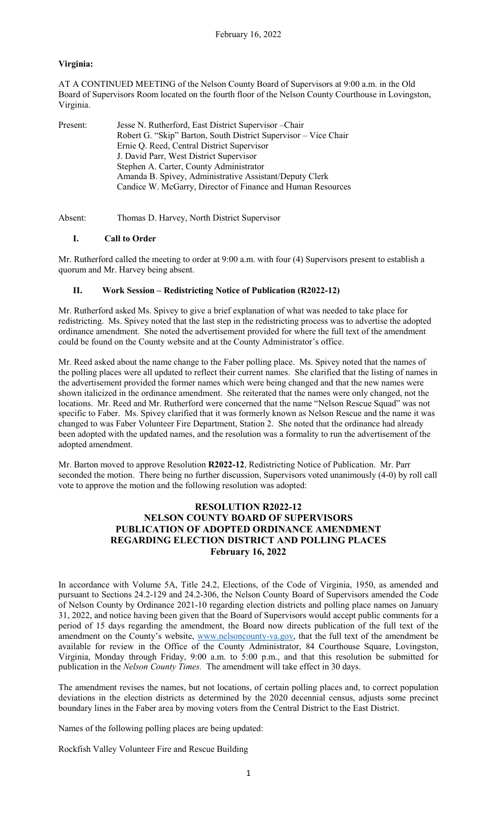## **Virginia:**

AT A CONTINUED MEETING of the Nelson County Board of Supervisors at 9:00 a.m. in the Old Board of Supervisors Room located on the fourth floor of the Nelson County Courthouse in Lovingston, Virginia.

| Present: | Jesse N. Rutherford, East District Supervisor - Chair           |
|----------|-----------------------------------------------------------------|
|          | Robert G. "Skip" Barton, South District Supervisor – Vice Chair |
|          | Ernie Q. Reed, Central District Supervisor                      |
|          | J. David Parr, West District Supervisor                         |
|          | Stephen A. Carter, County Administrator                         |
|          | Amanda B. Spivey, Administrative Assistant/Deputy Clerk         |
|          | Candice W. McGarry, Director of Finance and Human Resources     |

Absent: Thomas D. Harvey, North District Supervisor

### **I. Call to Order**

Mr. Rutherford called the meeting to order at 9:00 a.m. with four (4) Supervisors present to establish a quorum and Mr. Harvey being absent.

### **II. Work Session – Redistricting Notice of Publication (R2022-12)**

Mr. Rutherford asked Ms. Spivey to give a brief explanation of what was needed to take place for redistricting. Ms. Spivey noted that the last step in the redistricting process was to advertise the adopted ordinance amendment. She noted the advertisement provided for where the full text of the amendment could be found on the County website and at the County Administrator's office.

Mr. Reed asked about the name change to the Faber polling place. Ms. Spivey noted that the names of the polling places were all updated to reflect their current names. She clarified that the listing of names in the advertisement provided the former names which were being changed and that the new names were shown italicized in the ordinance amendment. She reiterated that the names were only changed, not the locations. Mr. Reed and Mr. Rutherford were concerned that the name "Nelson Rescue Squad" was not specific to Faber. Ms. Spivey clarified that it was formerly known as Nelson Rescue and the name it was changed to was Faber Volunteer Fire Department, Station 2. She noted that the ordinance had already been adopted with the updated names, and the resolution was a formality to run the advertisement of the adopted amendment.

Mr. Barton moved to approve Resolution **R2022-12**, Redistricting Notice of Publication. Mr. Parr seconded the motion. There being no further discussion, Supervisors voted unanimously (4-0) by roll call vote to approve the motion and the following resolution was adopted:

# **RESOLUTION R2022-12 NELSON COUNTY BOARD OF SUPERVISORS PUBLICATION OF ADOPTED ORDINANCE AMENDMENT REGARDING ELECTION DISTRICT AND POLLING PLACES February 16, 2022**

In accordance with Volume 5A, Title 24.2, Elections, of the Code of Virginia, 1950, as amended and pursuant to Sections 24.2-129 and 24.2-306, the Nelson County Board of Supervisors amended the Code of Nelson County by Ordinance 2021-10 regarding election districts and polling place names on January 31, 2022, and notice having been given that the Board of Supervisors would accept public comments for a period of 15 days regarding the amendment, the Board now directs publication of the full text of the amendment on the County's website, [www.nelsoncounty-va.gov,](http://www.nelsoncounty-va.gov/) that the full text of the amendment be available for review in the Office of the County Administrator, 84 Courthouse Square, Lovingston, Virginia, Monday through Friday, 9:00 a.m. to 5:00 p.m., and that this resolution be submitted for publication in the *Nelson County Times.* The amendment will take effect in 30 days.

The amendment revises the names, but not locations, of certain polling places and, to correct population deviations in the election districts as determined by the 2020 decennial census, adjusts some precinct boundary lines in the Faber area by moving voters from the Central District to the East District.

Names of the following polling places are being updated:

Rockfish Valley Volunteer Fire and Rescue Building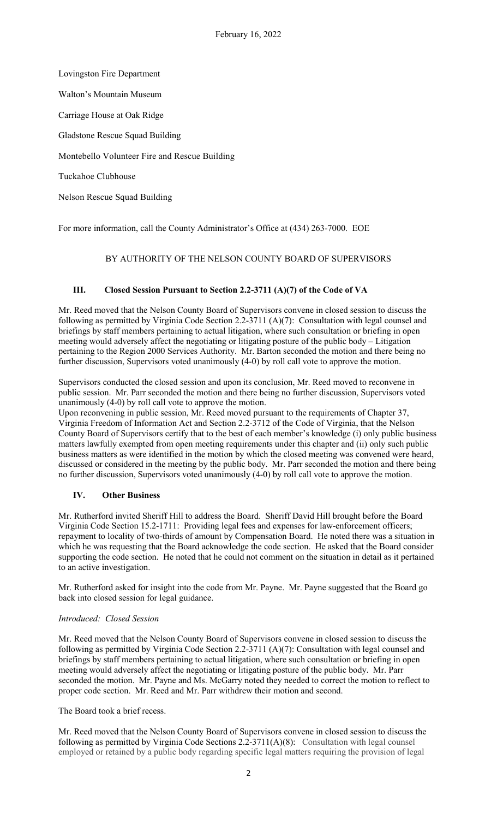Lovingston Fire Department Walton's Mountain Museum Carriage House at Oak Ridge Gladstone Rescue Squad Building Montebello Volunteer Fire and Rescue Building Tuckahoe Clubhouse Nelson Rescue Squad Building

For more information, call the County Administrator's Office at (434) 263-7000. EOE

# BY AUTHORITY OF THE NELSON COUNTY BOARD OF SUPERVISORS

### **III. Closed Session Pursuant to Section 2.2-3711 (A)(7) of the Code of VA**

Mr. Reed moved that the Nelson County Board of Supervisors convene in closed session to discuss the following as permitted by Virginia Code Section 2.2-3711 (A)(7): Consultation with legal counsel and briefings by staff members pertaining to actual litigation, where such consultation or briefing in open meeting would adversely affect the negotiating or litigating posture of the public body – Litigation pertaining to the Region 2000 Services Authority. Mr. Barton seconded the motion and there being no further discussion, Supervisors voted unanimously (4-0) by roll call vote to approve the motion.

Supervisors conducted the closed session and upon its conclusion, Mr. Reed moved to reconvene in public session. Mr. Parr seconded the motion and there being no further discussion, Supervisors voted unanimously (4-0) by roll call vote to approve the motion.

Upon reconvening in public session, Mr. Reed moved pursuant to the requirements of Chapter 37, Virginia Freedom of Information Act and Section 2.2-3712 of the Code of Virginia, that the Nelson County Board of Supervisors certify that to the best of each member's knowledge (i) only public business matters lawfully exempted from open meeting requirements under this chapter and (ii) only such public business matters as were identified in the motion by which the closed meeting was convened were heard, discussed or considered in the meeting by the public body. Mr. Parr seconded the motion and there being no further discussion, Supervisors voted unanimously (4-0) by roll call vote to approve the motion.

### **IV. Other Business**

Mr. Rutherford invited Sheriff Hill to address the Board. Sheriff David Hill brought before the Board Virginia Code Section 15.2-1711: Providing legal fees and expenses for law-enforcement officers; repayment to locality of two-thirds of amount by Compensation Board. He noted there was a situation in which he was requesting that the Board acknowledge the code section. He asked that the Board consider supporting the code section. He noted that he could not comment on the situation in detail as it pertained to an active investigation.

Mr. Rutherford asked for insight into the code from Mr. Payne. Mr. Payne suggested that the Board go back into closed session for legal guidance.

### *Introduced: Closed Session*

Mr. Reed moved that the Nelson County Board of Supervisors convene in closed session to discuss the following as permitted by Virginia Code Section 2.2-3711 (A)(7): Consultation with legal counsel and briefings by staff members pertaining to actual litigation, where such consultation or briefing in open meeting would adversely affect the negotiating or litigating posture of the public body. Mr. Parr seconded the motion. Mr. Payne and Ms. McGarry noted they needed to correct the motion to reflect to proper code section. Mr. Reed and Mr. Parr withdrew their motion and second.

The Board took a brief recess.

Mr. Reed moved that the Nelson County Board of Supervisors convene in closed session to discuss the following as permitted by Virginia Code Sections 2.2-3711(A)(8): Consultation with legal counsel employed or retained by a public body regarding specific legal matters requiring the provision of legal